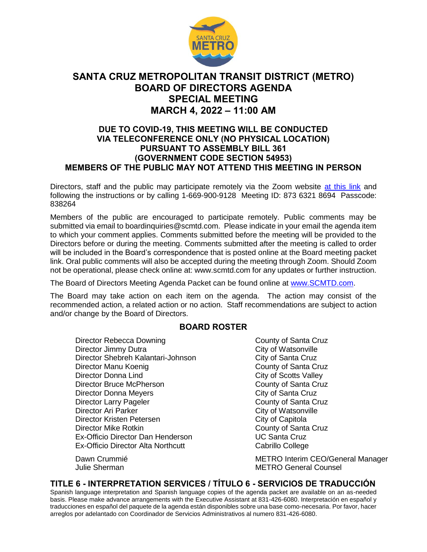

# **SANTA CRUZ METROPOLITAN TRANSIT DISTRICT (METRO) BOARD OF DIRECTORS AGENDA SPECIAL MEETING MARCH 4, 2022 – 11:00 AM**

## **DUE TO COVID-19, THIS MEETING WILL BE CONDUCTED VIA TELECONFERENCE ONLY (NO PHYSICAL LOCATION) PURSUANT TO ASSEMBLY BILL 361 (GOVERNMENT CODE SECTION 54953) MEMBERS OF THE PUBLIC MAY NOT ATTEND THIS MEETING IN PERSON**

Directors, staff and the public may participate remotely via the Zoom website [at this link](https://us02web.zoom.us/j/87363218694?pwd=bnhHTWg0MmJFczBXK0UxQWpoL01PZz09) and following the instructions or by calling 1-669-900-9128 Meeting ID: 873 6321 8694 Passcode: 838264

Members of the public are encouraged to participate remotely. Public comments may be submitted via email to boardinquiries@scmtd.com. Please indicate in your email the agenda item to which your comment applies. Comments submitted before the meeting will be provided to the Directors before or during the meeting. Comments submitted after the meeting is called to order will be included in the Board's correspondence that is posted online at the Board meeting packet link. Oral public comments will also be accepted during the meeting through Zoom. Should Zoom not be operational, please check online at: www.scmtd.com for any updates or further instruction.

The Board of Directors Meeting Agenda Packet can be found online at [www.SCMTD.com.](http://scmtd.com/en/)

The Board may take action on each item on the agenda. The action may consist of the recommended action, a related action or no action. Staff recommendations are subject to action and/or change by the Board of Directors.

#### **BOARD ROSTER**

Director Rebecca Downing<br>
Director Jimmy Dutra<br>
City of Watsonville Director Jimmy Dutra Director Shebreh Kalantari-Johnson City of Santa Cruz Director Manu Koenig County of Santa Cruz Director Donna Lind City of Scotts Valley Director Bruce McPherson County of Santa Cruz Director Donna Meyers City of Santa Cruz Director Larry Pageler County of Santa Cruz Director Ari Parker City of Watsonville Director Kristen Petersen City of Capitola Director Mike Rotkin<br>
Ex-Officio Director Dan Henderson<br>
UC Santa Cruz Ex-Officio Director Dan Henderson Ex-Officio Director Alta Northcutt Cabrillo College

Dawn Crummié **METRO Interim CEO/General Manager** Julie Sherman METRO General Counsel

### **TITLE 6 - INTERPRETATION SERVICES / TÍTULO 6 - SERVICIOS DE TRADUCCIÓN**

Spanish language interpretation and Spanish language copies of the agenda packet are available on an as-needed basis. Please make advance arrangements with the Executive Assistant at 831-426-6080. Interpretación en español y traducciones en español del paquete de la agenda están disponibles sobre una base como-necesaria. Por favor, hacer arreglos por adelantado con Coordinador de Servicios Administrativos al numero 831-426-6080.